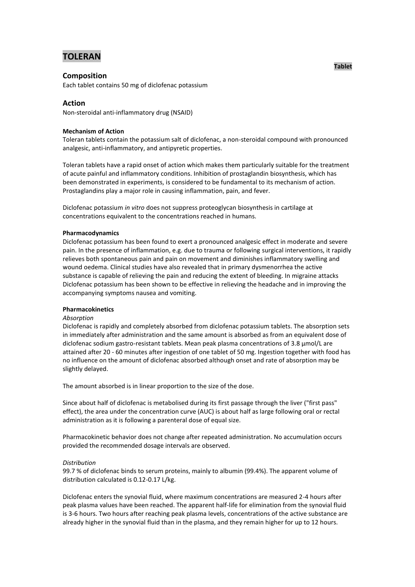# **TOLERAN**

## **Composition**

Each tablet contains 50 mg of diclofenac potassium

## **Action**

Non-steroidal anti-inflammatory drug (NSAID)

## **Mechanism of Action**

Toleran tablets contain the potassium salt of diclofenac, a non-steroidal compound with pronounced analgesic, anti-inflammatory, and antipyretic properties.

Toleran tablets have a rapid onset of action which makes them particularly suitable for the treatment of acute painful and inflammatory conditions. Inhibition of prostaglandin biosynthesis, which has been demonstrated in experiments, is considered to be fundamental to its mechanism of action. Prostaglandins play a major role in causing inflammation, pain, and fever.

Diclofenac potassium *in vitro* does not suppress proteoglycan biosynthesis in cartilage at concentrations equivalent to the concentrations reached in humans.

## **Pharmacodynamics**

Diclofenac potassium has been found to exert a pronounced analgesic effect in moderate and severe pain. In the presence of inflammation, e.g. due to trauma or following surgical interventions, it rapidly relieves both spontaneous pain and pain on movement and diminishes inflammatory swelling and wound oedema. Clinical studies have also revealed that in primary dysmenorrhea the active substance is capable of relieving the pain and reducing the extent of bleeding. In migraine attacks Diclofenac potassium has been shown to be effective in relieving the headache and in improving the accompanying symptoms nausea and vomiting.

## **Pharmacokinetics**

## *Absorption*

Diclofenac is rapidly and completely absorbed from diclofenac potassium tablets. The absorption sets in immediately after administration and the same amount is absorbed as from an equivalent dose of diclofenac sodium gastro-resistant tablets. Mean peak plasma concentrations of 3.8 µmol/L are attained after 20 - 60 minutes after ingestion of one tablet of 50 mg. Ingestion together with food has no influence on the amount of diclofenac absorbed although onset and rate of absorption may be slightly delayed.

The amount absorbed is in linear proportion to the size of the dose.

Since about half of diclofenac is metabolised during its first passage through the liver ("first pass" effect), the area under the concentration curve (AUC) is about half as large following oral or rectal administration as it is following a parenteral dose of equal size.

Pharmacokinetic behavior does not change after repeated administration. No accumulation occurs provided the recommended dosage intervals are observed.

## *Distribution*

99.7 % of diclofenac binds to serum proteins, mainly to albumin (99.4%). The apparent volume of distribution calculated is 0.12-0.17 L/kg.

Diclofenac enters the synovial fluid, where maximum concentrations are measured 2-4 hours after peak plasma values have been reached. The apparent half-life for elimination from the synovial fluid is 3-6 hours. Two hours after reaching peak plasma levels, concentrations of the active substance are already higher in the synovial fluid than in the plasma, and they remain higher for up to 12 hours.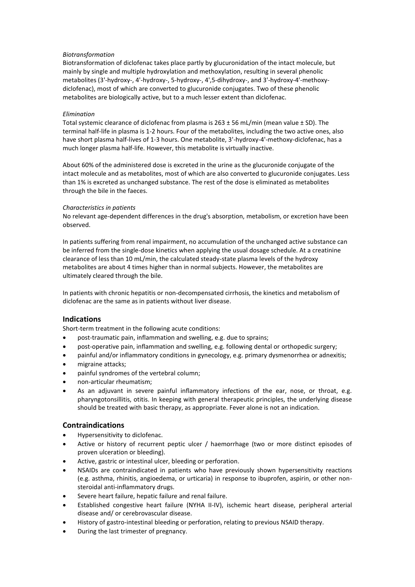## *Biotransformation*

Biotransformation of diclofenac takes place partly by glucuronidation of the intact molecule, but mainly by single and multiple hydroxylation and methoxylation, resulting in several phenolic metabolites (3'-hydroxy-, 4'-hydroxy-, 5-hydroxy-, 4',5-dihydroxy-, and 3'-hydroxy-4'-methoxydiclofenac), most of which are converted to glucuronide conjugates. Two of these phenolic metabolites are biologically active, but to a much lesser extent than diclofenac.

#### *Elimination*

Total systemic clearance of diclofenac from plasma is  $263 \pm 56$  mL/min (mean value  $\pm$  SD). The terminal half-life in plasma is 1-2 hours. Four of the metabolites, including the two active ones, also have short plasma half-lives of 1-3 hours. One metabolite, 3'-hydroxy-4'-methoxy-diclofenac, has a much longer plasma half-life. However, this metabolite is virtually inactive.

About 60% of the administered dose is excreted in the urine as the glucuronide conjugate of the intact molecule and as metabolites, most of which are also converted to glucuronide conjugates. Less than 1% is excreted as unchanged substance. The rest of the dose is eliminated as metabolites through the bile in the faeces.

#### *Characteristics in patients*

No relevant age-dependent differences in the drug's absorption, metabolism, or excretion have been observed.

In patients suffering from renal impairment, no accumulation of the unchanged active substance can be inferred from the single-dose kinetics when applying the usual dosage schedule. At a creatinine clearance of less than 10 mL/min, the calculated steady-state plasma levels of the hydroxy metabolites are about 4 times higher than in normal subjects. However, the metabolites are ultimately cleared through the bile.

In patients with chronic hepatitis or non-decompensated cirrhosis, the kinetics and metabolism of diclofenac are the same as in patients without liver disease.

## **Indications**

Short-term treatment in the following acute conditions:

- post-traumatic pain, inflammation and swelling, e.g. due to sprains;
- post-operative pain, inflammation and swelling, e.g. following dental or orthopedic surgery;
- painful and/or inflammatory conditions in gynecology, e.g. primary dysmenorrhea or adnexitis;
- migraine attacks;
- painful syndromes of the vertebral column;
- non-articular rheumatism;
- As an adjuvant in severe painful inflammatory infections of the ear, nose, or throat, e.g. pharyngotonsillitis, otitis. In keeping with general therapeutic principles, the underlying disease should be treated with basic therapy, as appropriate. Fever alone is not an indication.

## **Contraindications**

- Hypersensitivity to diclofenac.
- Active or history of recurrent peptic ulcer / haemorrhage (two or more distinct episodes of proven ulceration or bleeding).
- Active, gastric or intestinal ulcer, bleeding or perforation.
- NSAIDs are contraindicated in patients who have previously shown hypersensitivity reactions (e.g. asthma, rhinitis, angioedema, or urticaria) in response to ibuprofen, aspirin, or other nonsteroidal anti-inflammatory drugs.
- Severe heart failure, hepatic failure and renal failure.
- Established congestive heart failure (NYHA II-IV), ischemic heart disease, peripheral arterial disease and/ or cerebrovascular disease.
- History of gastro-intestinal bleeding or perforation, relating to previous NSAID therapy.
- During the last trimester of pregnancy.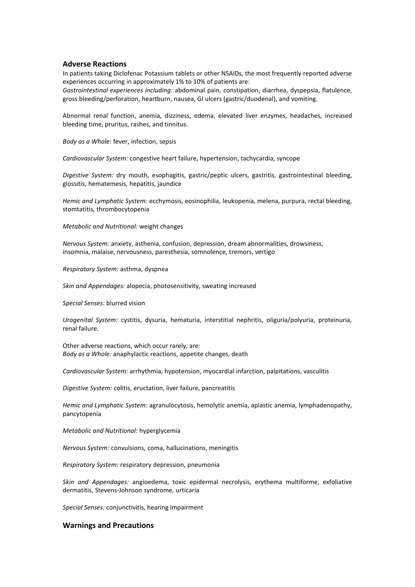#### **Adverse Reactions**

In patients taking Diclofenac Potassium tablets or other NSAIDs, the most frequently reported adverse experiences occurring in approximately 1% to 10% of patients are:

*Gastrointestinal experiences including:* abdominal pain, constipation, diarrhea, dyspepsia, flatulence, gross bleeding/perforation, heartburn, nausea, GI ulcers (gastric/duodenal), and vomiting.

Abnormal renal function, anemia, dizziness, edema, elevated liver enzymes, headaches, increased bleeding time, pruritus, rashes, and tinnitus.

*Body as a Whole:* fever, infection, sepsis

*Cardiovascular System:* congestive heart failure, hypertension, tachycardia, syncope

*Digestive System:* dry mouth, esophagitis, gastric/peptic ulcers, gastritis, gastrointestinal bleeding, glossitis, hematemesis, hepatitis, jaundice

*Hemic and Lymphatic System:* ecchymosis, eosinophilia, leukopenia, melena, purpura, rectal bleeding, stomtatitis, thrombocytopenia

*Metabolic and Nutritional:* weight changes

*Nervous System:* anxiety, asthenia, confusion, depression, dream abnormalities, drowsiness, insomnia, malaise, nervousness, paresthesia, somnolence, tremors, vertigo

*Respiratory System:* asthma, dyspnea

*Skin and Appendages:* alopecia, photosensitivity, sweating increased

*Special Senses:* blurred vision

*Urogenital System:* cystitis, dysuria, hematuria, interstitial nephritis, oliguria/polyuria, proteinuria, renal failure.

Other adverse reactions, which occur rarely, are: *Body as a Whole:* anaphylactic reactions, appetite changes, death

*Cardiovascular System:* arrhythmia, hypotension, myocardial infarction, palpitations, vasculitis

*Digestive System:* colitis, eructation, liver failure, pancreatitis

*Hemic and Lymphatic System:* agranulocytosis, hemolytic anemia, aplastic anemia, lymphadenopathy, pancytopenia

*Metabolic and Nutritional:* hyperglycemia

*Nervous System:* convulsions, coma, hallucinations, meningitis

*Respiratory System:* respiratory depression, pneumonia

*Skin and Appendages:* angioedema, toxic epidermal necrolysis, erythema multiforme, exfoliative dermatitis, Stevens-Johnson syndrome, urticaria

*Special Senses:* conjunctivitis, hearing impairment

#### **Warnings and Precautions**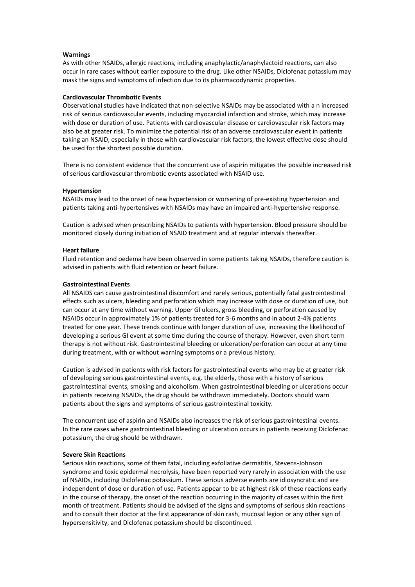#### **Warnings**

As with other NSAIDs, allergic reactions, including anaphylactic/anaphylactoid reactions, can also occur in rare cases without earlier exposure to the drug. Like other NSAIDs, Diclofenac potassium may mask the signs and symptoms of infection due to its pharmacodynamic properties.

#### **Cardiovascular Thrombotic Events**

Observational studies have indicated that non-selective NSAIDs may be associated with a n increased risk of serious cardiovascular events, including myocardial infarction and stroke, which may increase with dose or duration of use. Patients with cardiovascular disease or cardiovascular risk factors may also be at greater risk. To minimize the potential risk of an adverse cardiovascular event in patients taking an NSAID, especially in those with cardiovascular risk factors, the lowest effective dose should be used for the shortest possible duration.

There is no consistent evidence that the concurrent use of aspirin mitigates the possible increased risk of serious cardiovascular thrombotic events associated with NSAID use.

#### **Hypertension**

NSAIDs may lead to the onset of new hypertension or worsening of pre-existing hypertension and patients taking anti-hypertensives with NSAIDs may have an impaired anti-hypertensive response.

Caution is advised when prescribing NSAIDs to patients with hypertension. Blood pressure should be monitored closely during initiation of NSAID treatment and at regular intervals thereafter.

#### **Heart failure**

Fluid retention and oedema have been observed in some patients taking NSAIDs, therefore caution is advised in patients with fluid retention or heart failure.

#### **Gastrointestinal Events**

All NSAIDS can cause gastrointestinal discomfort and rarely serious, potentially fatal gastrointestinal effects such as ulcers, bleeding and perforation which may increase with dose or duration of use, but can occur at any time without warning. Upper GI ulcers, gross bleeding, or perforation caused by NSAIDs occur in approximately 1% of patients treated for 3-6 months and in about 2-4% patients treated for one year. These trends continue with longer duration of use, increasing the likelihood of developing a serious GI event at some time during the course of therapy. However, even short term therapy is not without risk. Gastrointestinal bleeding or ulceration/perforation can occur at any time during treatment, with or without warning symptoms or a previous history.

Caution is advised in patients with risk factors for gastrointestinal events who may be at greater risk of developing serious gastrointestinal events, e.g. the elderly, those with a history of serious gastrointestinal events, smoking and alcoholism. When gastrointestinal bleeding or ulcerations occur in patients receiving NSAIDs, the drug should be withdrawn immediately. Doctors should warn patients about the signs and symptoms of serious gastrointestinal toxicity.

The concurrent use of aspirin and NSAIDs also increases the risk of serious gastrointestinal events. In the rare cases where gastrointestinal bleeding or ulceration occurs in patients receiving Diclofenac potassium, the drug should be withdrawn.

#### **Severe Skin Reactions**

Serious skin reactions, some of them fatal, including exfoliative dermatitis, Stevens-Johnson syndrome and toxic epidermal necrolysis, have been reported very rarely in association with the use of NSAIDs, including Diclofenac potassium. These serious adverse events are idiosyncratic and are independent of dose or duration of use. Patients appear to be at highest risk of these reactions early in the course of therapy, the onset of the reaction occurring in the majority of cases within the first month of treatment. Patients should be advised of the signs and symptoms of serious skin reactions and to consult their doctor at the first appearance of skin rash, mucosal legion or any other sign of hypersensitivity, and Diclofenac potassium should be discontinued.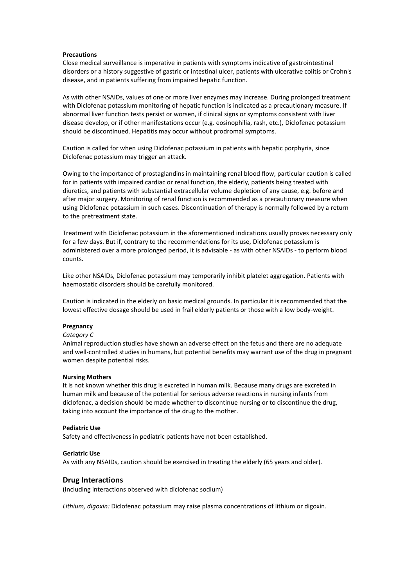#### **Precautions**

Close medical surveillance is imperative in patients with symptoms indicative of gastrointestinal disorders or a history suggestive of gastric or intestinal ulcer, patients with ulcerative colitis or Crohn's disease, and in patients suffering from impaired hepatic function.

As with other NSAIDs, values of one or more liver enzymes may increase. During prolonged treatment with Diclofenac potassium monitoring of hepatic function is indicated as a precautionary measure. If abnormal liver function tests persist or worsen, if clinical signs or symptoms consistent with liver disease develop, or if other manifestations occur (e.g. eosinophilia, rash, etc.), Diclofenac potassium should be discontinued. Hepatitis may occur without prodromal symptoms.

Caution is called for when using Diclofenac potassium in patients with hepatic porphyria, since Diclofenac potassium may trigger an attack.

Owing to the importance of prostaglandins in maintaining renal blood flow, particular caution is called for in patients with impaired cardiac or renal function, the elderly, patients being treated with diuretics, and patients with substantial extracellular volume depletion of any cause, e.g. before and after major surgery. Monitoring of renal function is recommended as a precautionary measure when using Diclofenac potassium in such cases. Discontinuation of therapy is normally followed by a return to the pretreatment state.

Treatment with Diclofenac potassium in the aforementioned indications usually proves necessary only for a few days. But if, contrary to the recommendations for its use, Diclofenac potassium is administered over a more prolonged period, it is advisable - as with other NSAIDs - to perform blood counts.

Like other NSAIDs, Diclofenac potassium may temporarily inhibit platelet aggregation. Patients with haemostatic disorders should be carefully monitored.

Caution is indicated in the elderly on basic medical grounds. In particular it is recommended that the lowest effective dosage should be used in frail elderly patients or those with a low body-weight.

#### **Pregnancy**

#### *Category C*

Animal reproduction studies have shown an adverse effect on the fetus and there are no adequate and well-controlled studies in humans, but potential benefits may warrant use of the drug in pregnant women despite potential risks.

#### **Nursing Mothers**

It is not known whether this drug is excreted in human milk. Because many drugs are excreted in human milk and because of the potential for serious adverse reactions in nursing infants from diclofenac, a decision should be made whether to discontinue nursing or to discontinue the drug, taking into account the importance of the drug to the mother.

#### **Pediatric Use**

Safety and effectiveness in pediatric patients have not been established.

#### **Geriatric Use**

As with any NSAIDs, caution should be exercised in treating the elderly (65 years and older).

#### **Drug Interactions**

(Including interactions observed with diclofenac sodium)

*Lithium, digoxin:* Diclofenac potassium may raise plasma concentrations of lithium or digoxin.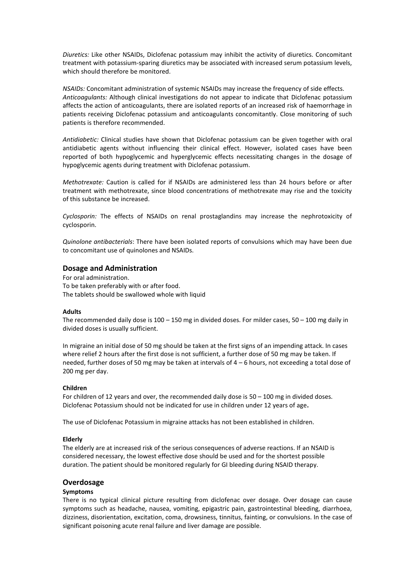*Diuretics:* Like other NSAIDs, Diclofenac potassium may inhibit the activity of diuretics. Concomitant treatment with potassium-sparing diuretics may be associated with increased serum potassium levels, which should therefore be monitored.

*NSAIDs:* Concomitant administration of systemic NSAIDs may increase the frequency of side effects. *Anticoagulants:* Although clinical investigations do not appear to indicate that Diclofenac potassium affects the action of anticoagulants, there are isolated reports of an increased risk of haemorrhage in patients receiving Diclofenac potassium and anticoagulants concomitantly. Close monitoring of such patients is therefore recommended.

*Antidiabetic:* Clinical studies have shown that Diclofenac potassium can be given together with oral antidiabetic agents without influencing their clinical effect. However, isolated cases have been reported of both hypoglycemic and hyperglycemic effects necessitating changes in the dosage of hypoglycemic agents during treatment with Diclofenac potassium.

*Methotrexate:* Caution is called for if NSAIDs are administered less than 24 hours before or after treatment with methotrexate, since blood concentrations of methotrexate may rise and the toxicity of this substance be increased.

*Cyclosporin:* The effects of NSAIDs on renal prostaglandins may increase the nephrotoxicity of cyclosporin.

*Quinolone antibacterials*: There have been isolated reports of convulsions which may have been due to concomitant use of quinolones and NSAIDs.

## **Dosage and Administration**

For oral administration. To be taken preferably with or after food. The tablets should be swallowed whole with liquid

## **Adults**

The recommended daily dose is  $100 - 150$  mg in divided doses. For milder cases,  $50 - 100$  mg daily in divided doses is usually sufficient.

In migraine an initial dose of 50 mg should be taken at the first signs of an impending attack. In cases where relief 2 hours after the first dose is not sufficient, a further dose of 50 mg may be taken. If needed, further doses of 50 mg may be taken at intervals of 4 – 6 hours, not exceeding a total dose of 200 mg per day.

## **Children**

For children of 12 years and over, the recommended daily dose is 50 – 100 mg in divided doses. Diclofenac Potassium should not be indicated for use in children under 12 years of age**.**

The use of Diclofenac Potassium in migraine attacks has not been established in children.

## **Elderly**

The elderly are at increased risk of the serious consequences of adverse reactions. If an NSAID is considered necessary, the lowest effective dose should be used and for the shortest possible duration. The patient should be monitored regularly for GI bleeding during NSAID therapy.

## **Overdosage**

## **Symptoms**

There is no typical clinical picture resulting from diclofenac over dosage. Over dosage can cause symptoms such as headache, nausea, vomiting, epigastric pain, gastrointestinal bleeding, diarrhoea, dizziness, disorientation, excitation, coma, drowsiness, tinnitus, fainting, or convulsions. In the case of significant poisoning acute renal failure and liver damage are possible.